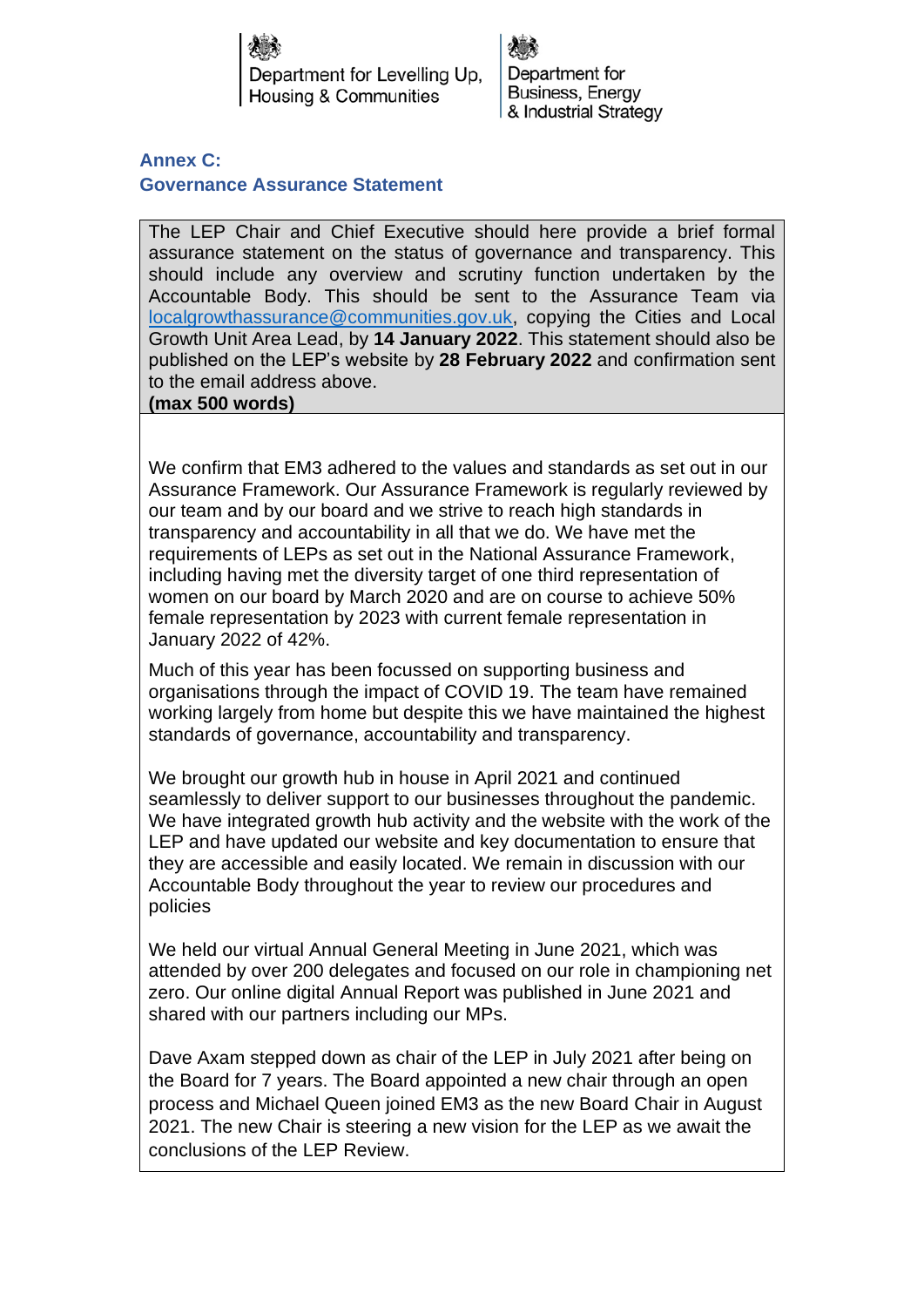Department for Levelling Up. Housing & Communities

Department for Business, Energy & Industrial Strategy

**Annex C: Governance Assurance Statement**

The LEP Chair and Chief Executive should here provide a brief formal assurance statement on the status of governance and transparency. This should include any overview and scrutiny function undertaken by the Accountable Body. This should be sent to the Assurance Team via [localgrowthassurance@communities.gov.uk,](mailto:localgrowthassurance@communities.gov.uk) copying the Cities and Local Growth Unit Area Lead, by **14 January 2022**. This statement should also be published on the LEP's website by **28 February 2022** and confirmation sent to the email address above. **(max 500 words)**

We confirm that EM3 adhered to the values and standards as set out in our Assurance Framework. Our Assurance Framework is regularly reviewed by our team and by our board and we strive to reach high standards in transparency and accountability in all that we do. We have met the requirements of LEPs as set out in the National Assurance Framework, including having met the diversity target of one third representation of women on our board by March 2020 and are on course to achieve 50% female representation by 2023 with current female representation in January 2022 of 42%.

Much of this year has been focussed on supporting business and organisations through the impact of COVID 19. The team have remained working largely from home but despite this we have maintained the highest standards of governance, accountability and transparency.

We brought our growth hub in house in April 2021 and continued seamlessly to deliver support to our businesses throughout the pandemic. We have integrated growth hub activity and the website with the work of the LEP and have updated our website and key documentation to ensure that they are accessible and easily located. We remain in discussion with our Accountable Body throughout the year to review our procedures and policies

We held our virtual Annual General Meeting in June 2021, which was attended by over 200 delegates and focused on our role in championing net zero. Our online digital Annual Report was published in June 2021 and shared with our partners including our MPs.

Dave Axam stepped down as chair of the LEP in July 2021 after being on the Board for 7 years. The Board appointed a new chair through an open process and Michael Queen joined EM3 as the new Board Chair in August 2021. The new Chair is steering a new vision for the LEP as we await the conclusions of the LEP Review.